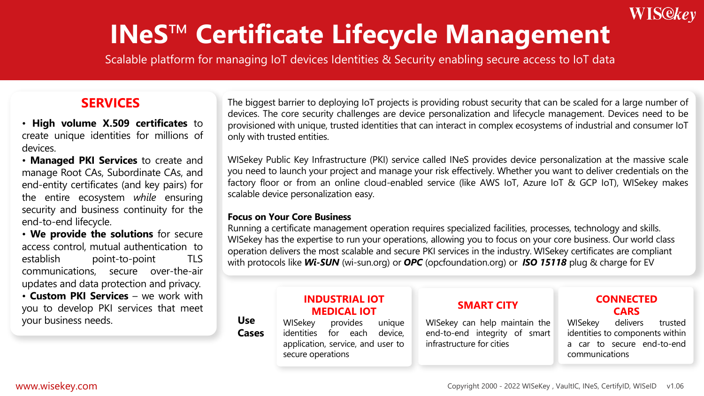## WIS@key

# **INeS**™️ **Certificate Lifecycle Management**

Scalable platform for managing IoT devices Identities & Security enabling secure access to IoT data

### **SERVICES**

- **High volume X.509 certificates** to create unique identities for millions of devices.
- **Managed PKI Services** to create and manage Root CAs, Subordinate CAs, and end-entity certificates (and key pairs) for the entire ecosystem *while* ensuring security and business continuity for the end-to-end lifecycle.
- **We provide the solutions** for secure access control, mutual authentication to establish point-to-point TLS communications, secure over-the-air updates and data protection and privacy.

• **Custom PKI Services** – we work with you to develop PKI services that meet your business needs.

The biggest barrier to deploying IoT projects is providing robust security that can be scaled for a large number of devices. The core security challenges are device personalization and lifecycle management. Devices need to be provisioned with unique, trusted identities that can interact in complex ecosystems of industrial and consumer IoT only with trusted entities.

WISekey Public Key Infrastructure (PKI) service called INeS provides device personalization at the massive scale you need to launch your project and manage your risk effectively. Whether you want to deliver credentials on the factory floor or from an online cloud-enabled service (like AWS IoT, Azure IoT & GCP IoT), WISekey makes scalable device personalization easy.

#### **Focus on Your Core Business**

Running a certificate management operation requires specialized facilities, processes, technology and skills. WISekey has the expertise to run your operations, allowing you to focus on your core business. Our world class operation delivers the most scalable and secure PKI services in the industry. WISekey certificates are compliant with protocols like *Wi-SUN* (wi-sun.org) or *OPC* (opcfoundation.org) or *ISO 15118* plug & charge for EV

#### **Use Cases** WISekey provides unique identities for each device, application, service, and user to secure operations WISekey can help maintain the end-to-end integrity of smart infrastructure for cities **INDUSTRIAL IOT MEDICAL IOT SMART CITY** WISekey delivers trusted identities to components within a car to secure end-to-end communications **CONNECTED CARS**